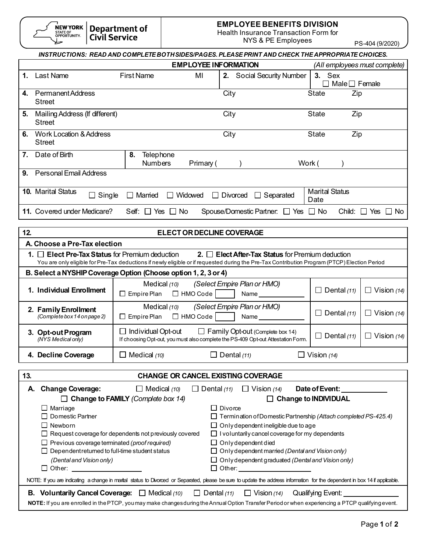| <b>NEW YO</b>    |
|------------------|
| <b>STATE OF</b>  |
| <b>OPPORTUNI</b> |
|                  |
|                  |

#### **EMPLOYEE BENEFITS DIVISION**

Health Insurance Transaction Form for

NYS & PE Employees<br>NYS & PE Employees<br>PS-404 (9/2020)

|                |                                                            |                                                                      |                                                                                                                                                                              |        |                                               | 1.97494(312020)             |
|----------------|------------------------------------------------------------|----------------------------------------------------------------------|------------------------------------------------------------------------------------------------------------------------------------------------------------------------------|--------|-----------------------------------------------|-----------------------------|
|                |                                                            |                                                                      | INSTRUCTIONS: READ AND COMPLETE BOTH SIDES/PAGES. PLEASE PRINT AND CHECK THE APPROPRIATE CHOICES.                                                                            |        |                                               |                             |
|                |                                                            |                                                                      | <b>EMPLOYEE INFORMATION</b>                                                                                                                                                  |        | (All employees must complete)                 |                             |
| $\mathbf{1}$ . | Last Name                                                  | <b>First Name</b>                                                    | MI<br>2. Social Security Number                                                                                                                                              |        | 3. Sex<br>$\Box$ Male $\Box$ Female           |                             |
| 4.             | <b>Permanent Address</b><br><b>Street</b>                  |                                                                      | City                                                                                                                                                                         |        | State<br>Zip                                  |                             |
| 5.             | Mailing Address (If different)<br><b>Street</b>            |                                                                      | City                                                                                                                                                                         |        | <b>State</b><br>Zip                           |                             |
| 6.             | <b>Work Location &amp; Address</b><br><b>Street</b>        |                                                                      | City                                                                                                                                                                         |        | <b>State</b><br>Zip                           |                             |
| 7.             | Date of Birth                                              | 8.<br>Telephone<br><b>Numbers</b>                                    | Primary (                                                                                                                                                                    | Work ( |                                               |                             |
| 9.             | <b>Personal Email Address</b>                              |                                                                      |                                                                                                                                                                              |        |                                               |                             |
|                | 10. Marital Status<br>$\Box$ Single                        | $\Box$ Married<br>□ Widowed                                          | $\Box$ Divorced $\Box$ Separated                                                                                                                                             |        | <b>Marital Status</b><br>Date                 |                             |
|                | 11. Covered under Medicare?                                | Self: $\Box$ Yes $\Box$ No                                           | Spouse/Domestic Partner: □ Yes □ No                                                                                                                                          |        |                                               | Child: $\Box$ Yes $\Box$ No |
| 12.            |                                                            |                                                                      | <b>ELECT OR DECLINE COVERAGE</b>                                                                                                                                             |        |                                               |                             |
|                | A. Choose a Pre-Tax election                               |                                                                      |                                                                                                                                                                              |        |                                               |                             |
|                | 1. $\Box$ Elect Pre-Tax Status for Premium deduction       |                                                                      | 2. $\Box$ Elect After-Tax Status for Premium deduction                                                                                                                       |        |                                               |                             |
|                |                                                            |                                                                      | You are only eligible for Pre-Tax deductions if newly eligible or if requested during the Pre-Tax Contribution Program (PTCP) Election Period                                |        |                                               |                             |
|                |                                                            | B. Select a NYSHIP Coverage Option (Choose option 1, 2, 3 or 4)      |                                                                                                                                                                              |        |                                               |                             |
|                | 1. Individual Enrollment                                   | Medical $(10)$<br>$\Box$ Empire Plan $\Box$ HMO Code $\vert$ $\vert$ | (Select Empire Plan or HMO)<br>Name <sub>1</sub>                                                                                                                             |        | $\Box$ Dental (11)                            | $\Box$ Vision (14)          |
|                | 2. Family Enrollment<br>(Complete box 14 on page 2)        | Medical $(10)$<br>$\square$ Empire Plan                              | (Select Empire Plan or HMO)<br>$\Box$ HMO Code<br>Name <sub>2</sub>                                                                                                          |        | $\Box$ Dental (11)                            | $\Box$ Vision (14)          |
|                | 3. Opt-out Program<br>(NYS Medical only)                   | $\Box$ Individual Opt-out                                            | $\Box$ Family Opt-out (Complete box 14)<br>If choosing Opt-out, you must also complete the PS-409 Opt-out Attestation Form.                                                  |        | $\Box$ Dental (11)                            | $\Box$ Vision (14)          |
|                | 4. Decline Coverage                                        | $\square$ Medical (10)                                               | $\Box$ Dental (11)                                                                                                                                                           |        | $\Box$ Vision (14)                            |                             |
| 13.            |                                                            |                                                                      | <b>CHANGE OR CANCEL EXISTING COVERAGE</b>                                                                                                                                    |        |                                               |                             |
|                |                                                            |                                                                      |                                                                                                                                                                              |        |                                               |                             |
| А.             | <b>Change Coverage:</b>                                    | $\Box$ Medical (10)<br>$\Box$ Change to FAMILY (Complete box 14)     | $\Box$ Dental (11)<br>$\Box$ Vision (14)<br>$\Box$                                                                                                                           |        | Date of Event:<br><b>Change to INDIVIDUAL</b> |                             |
|                | $\Box$ Marriage                                            |                                                                      | $\Box$ Divorce                                                                                                                                                               |        |                                               |                             |
|                | $\Box$ Domestic Partner                                    |                                                                      | $\Box$ Termination of Domestic Partnership (Attach completed PS-425.4)                                                                                                       |        |                                               |                             |
|                | $\Box$ Newborn                                             |                                                                      | $\Box$ Only dependent ineligible due to age                                                                                                                                  |        |                                               |                             |
|                |                                                            | $\Box$ Request coverage for dependents not previously covered        | $\Box$ I voluntarily cancel coverage for my dependents                                                                                                                       |        |                                               |                             |
|                | $\Box$ Previous coverage terminated (proof required)       |                                                                      | $\Box$ Only dependent died                                                                                                                                                   |        |                                               |                             |
|                | $\Box$ Dependent returned to full-time student status      |                                                                      | $\Box$ Only dependent married (Dental and Vision only)                                                                                                                       |        |                                               |                             |
|                | (Dental and Vision only)<br>□ Other: ________________      |                                                                      | $\Box$ Only dependent graduated (Dental and Vision only)<br>□ Other: ______________________                                                                                  |        |                                               |                             |
|                |                                                            |                                                                      | NOTE: If you are indicating a change in marital status to Divorced or Separated, please be sure to update the address information for the dependent in box 14 if applicable. |        |                                               |                             |
|                | <b>B.</b> Voluntarily Cancel Coverage: $\Box$ Medical (10) |                                                                      | $\Box$ Dental (11)<br>$\Box$ Vision (14)                                                                                                                                     |        | Qualifying Event:                             |                             |
|                |                                                            |                                                                      | NOTE: If you are enrolled in the PTCP, you may make changesduring the Annual Option Transfer Period or when experiencing a PTCP qualifying event.                            |        |                                               |                             |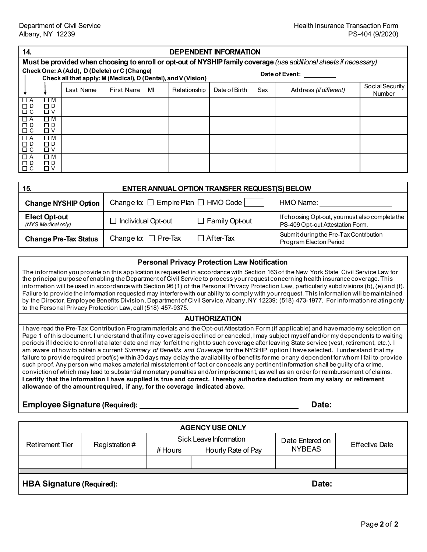| 14.                  |                                                                                                                    |                                                                                                               |            |    |              | <b>DEPENDENT INFORMATION</b> |     |                        |                 |
|----------------------|--------------------------------------------------------------------------------------------------------------------|---------------------------------------------------------------------------------------------------------------|------------|----|--------------|------------------------------|-----|------------------------|-----------------|
|                      | Must be provided when choosing to enroll or opt-out of NYSHIP family coverage (use additional sheets if necessary) |                                                                                                               |            |    |              |                              |     |                        |                 |
|                      |                                                                                                                    | Check One: A (Add), D (Delete) or C (Change)<br>Check all that apply: M (Medical), D (Dental), and V (Vision) |            |    |              |                              |     | Date of Event:         |                 |
|                      |                                                                                                                    |                                                                                                               |            |    |              |                              |     |                        | Social Security |
|                      |                                                                                                                    | Last Name                                                                                                     | First Name | MI | Relationship | Date of Birth                | Sex | Address (if different) | <b>Number</b>   |
| □ A<br>$\Box$ D      | $\Box$ M<br>ΠD                                                                                                     |                                                                                                               |            |    |              |                              |     |                        |                 |
| $\Box$ $C$           | □∨                                                                                                                 |                                                                                                               |            |    |              |                              |     |                        |                 |
| $\Box A$<br>$\Box$ D | ΠМ<br>□ D                                                                                                          |                                                                                                               |            |    |              |                              |     |                        |                 |
| $\Box$ $\Box$        | □∨                                                                                                                 |                                                                                                               |            |    |              |                              |     |                        |                 |
| $\Box$ A<br>$\Box$ D | $\square$ M<br>□ D                                                                                                 |                                                                                                               |            |    |              |                              |     |                        |                 |
| $\Box$ $\Box$        | □∨                                                                                                                 |                                                                                                               |            |    |              |                              |     |                        |                 |
| $\Box$ A<br>$\Box$ D | Π Μ<br>ΠD.                                                                                                         |                                                                                                               |            |    |              |                              |     |                        |                 |
| $\Box$ $\Box$        | אם ∨                                                                                                               |                                                                                                               |            |    |              |                              |     |                        |                 |
|                      |                                                                                                                    |                                                                                                               |            |    |              |                              |     |                        |                 |

| 15.                                        | ENTER ANNUAL OPTION TRANSFER REQUEST(S) BELOW |                       |                                                                                     |  |  |
|--------------------------------------------|-----------------------------------------------|-----------------------|-------------------------------------------------------------------------------------|--|--|
| <b>Change NYSHIP Option</b>                | Change to: $\Box$ Empire Plan $\Box$ HMO Code |                       | HMO Name:                                                                           |  |  |
| <b>Elect Opt-out</b><br>(NYS Medical only) | $\Box$ Individual Opt-out                     | $\Box$ Family Opt-out | If choosing Opt-out, you must also complete the<br>PS-409 Opt-out Attestation Form. |  |  |
| <b>Change Pre-Tax Status</b>               | Change to: $\Box$ Pre-Tax                     | $\Box$ After-Tax      | Submit during the Pre-Tax Contribution<br>Program Election Period                   |  |  |

| <b>Personal Privacy Protection Law Notification</b>                                                                                                                                                                                                                                                                                                                                                                                                                                                                                                                                                                                                                                                                                                                                           |
|-----------------------------------------------------------------------------------------------------------------------------------------------------------------------------------------------------------------------------------------------------------------------------------------------------------------------------------------------------------------------------------------------------------------------------------------------------------------------------------------------------------------------------------------------------------------------------------------------------------------------------------------------------------------------------------------------------------------------------------------------------------------------------------------------|
| The information you provide on this application is requested in accordance with Section 163 of the New York State Civil Service Law for<br>the principal purpose of enabling the Department of Civil Service to process your request concerning health insurance coverage. This<br>information will be used in accordance with Section 96(1) of the Personal Privacy Protection Law, particularly subdivisions (b), (e) and (f).<br>Failure to provide the information requested may interfere with our ability to comply with your request. This information will be maintained<br>by the Director, Employee Benefits Division, Department of Civil Service, Albany, NY 12239; (518) 473-1977. For information relating only<br>to the Personal Privacy Protection Law, call (518) 457-9375. |
| <b>AUTHORIZATION</b>                                                                                                                                                                                                                                                                                                                                                                                                                                                                                                                                                                                                                                                                                                                                                                          |
| I have read the Pre-Tax Contribution Program materials and the Opt-out Attestation Form (if applicable) and have made my selection on<br>Page 1 of this document. I understand that if my coverage is declined or canceled, I may subject myself and/or my dependents to waiting<br>periods if I decide to enroll at a later date and may forfeit the right to such coverage after leaving State service (vest, retirement, etc.). I                                                                                                                                                                                                                                                                                                                                                          |

conviction of which may lead to substantial monetary penalties and/or imprisonment, as well as an order for reimbursement of claims. **I certify that the information I have supplied is true and correct. I hereby authorize deduction from my salary or retirement allowance of the amount required, if any, for the coverage indicated above.**

# **Employee Signature (Required): Date:**

**AGENCY USE ONLY** Retirement Tier | Registration # Sick Leave Information Date Entered on<br>
Date Entered on<br>
NYBEAS Effective Date # Hours Hourly Rate of Pay **HBA Signature (Required):**  $\qquad \qquad$  **Date:** Date: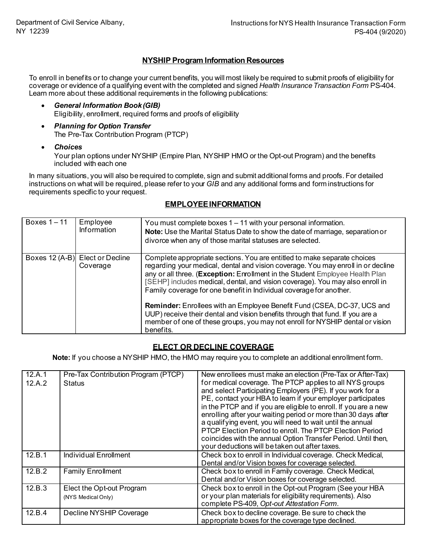### **NYSHIP Program Information Resources**

To enroll in benefits or to change your current benefits, you will most likely be required to submit proofs of eligibility for coverage or evidence of a qualifying event with the completed and signed *Health Insurance Transaction Form* PS-404. Learn more about these additional requirements in the following publications:

- *General Information Book (GIB)* Eligibility, enrollment, required forms and proofs of eligibility
- *Planning for Option Transfer* The Pre-Tax Contribution Program (PTCP)
- *Choices*

Your plan options under NYSHIP (Empire Plan, NYSHIP HMO or the Opt-out Program) and the benefits included with each one

In many situations, you will also be required to complete, sign and submit additional forms and proofs. For detailed instructions on what will be required, please refer to your *GIB* and any additional forms and form instructions for requirements specific to your request.

| Boxes $1 - 11$ | Employee<br>Information                     | You must complete boxes $1 - 11$ with your personal information.<br>Note: Use the Marital Status Date to show the date of marriage, separation or<br>divorce when any of those marital statuses are selected.                                                                                                                                                                                                                                                                                                                                                                                                                                                         |
|----------------|---------------------------------------------|-----------------------------------------------------------------------------------------------------------------------------------------------------------------------------------------------------------------------------------------------------------------------------------------------------------------------------------------------------------------------------------------------------------------------------------------------------------------------------------------------------------------------------------------------------------------------------------------------------------------------------------------------------------------------|
|                | Boxes 12 (A-B) Elect or Decline<br>Coverage | Complete appropriate sections. You are entitled to make separate choices<br>regarding your medical, dental and vision coverage. You may enroll in or decline<br>any or all three. (Exception: Enrollment in the Student Employee Health Plan<br>[SEHP] includes medical, dental, and vision coverage). You may also enroll in<br>Family coverage for one benefit in Individual coverage for another.<br><b>Reminder:</b> Enrollees with an Employee Benefit Fund (CSEA, DC-37, UCS and<br>UUP) receive their dental and vision benefits through that fund. If you are a<br>member of one of these groups, you may not enroll for NYSHIP dental or vision<br>benefits. |

### **EMPLOYEE INFORMATION**

### **ELECT OR DECLINE COVERAGE**

**Note:** If you choose a NYSHIP HMO, the HMO may require you to complete an additional enrollment form.

| 12.A.1<br>12.A.2 | Pre-Tax Contribution Program (PTCP)<br><b>Status</b> | New enrollees must make an election (Pre-Tax or After-Tax)<br>for medical coverage. The PTCP applies to all NYS groups<br>and select Participating Employers (PE). If you work for a<br>PE, contact your HBA to learn if your employer participates<br>in the PTCP and if you are eligible to enroll. If you are a new<br>enrolling after your waiting period or more than 30 days after<br>a qualifying event, you will need to wait until the annual<br>PTCP Election Period to enroll. The PTCP Election Period<br>coincides with the annual Option Transfer Period. Until then,<br>your deductions will be taken out after taxes. |
|------------------|------------------------------------------------------|---------------------------------------------------------------------------------------------------------------------------------------------------------------------------------------------------------------------------------------------------------------------------------------------------------------------------------------------------------------------------------------------------------------------------------------------------------------------------------------------------------------------------------------------------------------------------------------------------------------------------------------|
| 12.B.1           | <b>Individual Enrollment</b>                         | Check box to enroll in Individual coverage. Check Medical,<br>Dental and/or Vision boxes for coverage selected.                                                                                                                                                                                                                                                                                                                                                                                                                                                                                                                       |
| 12.B.2           | <b>Family Enrollment</b>                             | Check box to enroll in Family coverage. Check Medical,<br>Dental and/or Vision boxes for coverage selected.                                                                                                                                                                                                                                                                                                                                                                                                                                                                                                                           |
| 12.B.3           | Elect the Opt-out Program<br>(NYS Medical Only)      | Check box to enroll in the Opt-out Program (See your HBA<br>or your plan materials for eligibility requirements). Also<br>complete PS-409, Opt-out Attestation Form.                                                                                                                                                                                                                                                                                                                                                                                                                                                                  |
| 12.B.4           | Decline NYSHIP Coverage                              | Check box to decline coverage. Be sure to check the<br>appropriate boxes for the coverage type declined.                                                                                                                                                                                                                                                                                                                                                                                                                                                                                                                              |